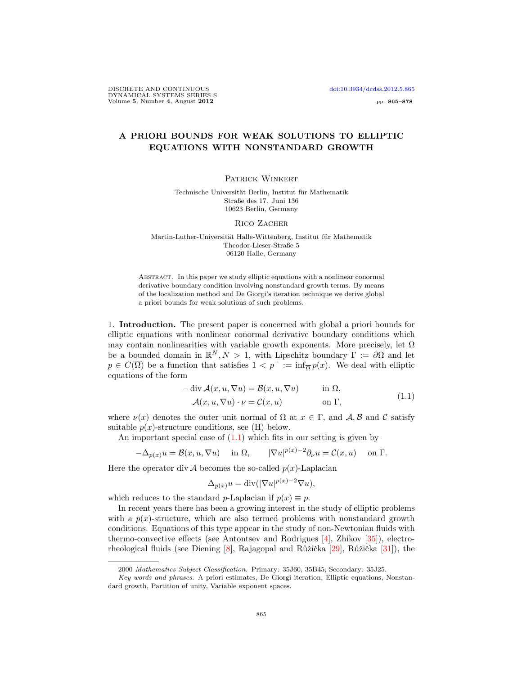## A PRIORI BOUNDS FOR WEAK SOLUTIONS TO ELLIPTIC EQUATIONS WITH NONSTANDARD GROWTH

## PATRICK WINKERT

Technische Universität Berlin, Institut für Mathematik Straße des 17. Juni 136 10623 Berlin, Germany

RICO ZACHER

Martin-Luther-Universität Halle-Wittenberg, Institut für Mathematik Theodor-Lieser-Straße 5 06120 Halle, Germany

Abstract. In this paper we study elliptic equations with a nonlinear conormal derivative boundary condition involving nonstandard growth terms. By means of the localization method and De Giorgi's iteration technique we derive global a priori bounds for weak solutions of such problems.

1. Introduction. The present paper is concerned with global a priori bounds for elliptic equations with nonlinear conormal derivative boundary conditions which may contain nonlinearities with variable growth exponents. More precisely, let  $\Omega$ be a bounded domain in  $\mathbb{R}^N, N > 1$ , with Lipschitz boundary  $\Gamma := \partial \Omega$  and let  $p \in C(\overline{\Omega})$  be a function that satisfies  $1 < p^- := \inf_{\overline{\Omega}} p(x)$ . We deal with elliptic equations of the form

$$
-\operatorname{div} \mathcal{A}(x, u, \nabla u) = \mathcal{B}(x, u, \nabla u) \quad \text{in } \Omega,
$$
  

$$
\mathcal{A}(x, u, \nabla u) \cdot \nu = \mathcal{C}(x, u) \quad \text{on } \Gamma,
$$
 (1.1)

where  $\nu(x)$  denotes the outer unit normal of  $\Omega$  at  $x \in \Gamma$ , and  $\mathcal{A}, \mathcal{B}$  and  $\mathcal{C}$  satisfy suitable  $p(x)$ -structure conditions, see (H) below.

An important special case of  $(1.1)$  which fits in our setting is given by

$$
-\Delta_{p(x)}u = \mathcal{B}(x, u, \nabla u) \quad \text{ in } \Omega, \qquad |\nabla u|^{p(x)-2}\partial_{\nu}u = \mathcal{C}(x, u) \quad \text{ on } \Gamma.
$$

Here the operator div A becomes the so-called  $p(x)$ -Laplacian

<span id="page-0-0"></span>
$$
\Delta_{p(x)} u = \text{div}(|\nabla u|^{p(x)-2} \nabla u),
$$

which reduces to the standard p-Laplacian if  $p(x) \equiv p$ .

In recent years there has been a growing interest in the study of elliptic problems with a  $p(x)$ -structure, which are also termed problems with nonstandard growth conditions. Equations of this type appear in the study of non-Newtonian fluids with thermo-convective effects (see Antontsev and Rodrigues [\[4\]](#page-12-0), Zhikov [\[35\]](#page-13-0)), electro-rheological fluids (see Diening [\[8\]](#page-12-1), Rajagopal and Růžička [\[29\]](#page-13-1), Růžička [\[31\]](#page-13-2)), the

<sup>2000</sup> Mathematics Subject Classification. Primary: 35J60, 35B45; Secondary: 35J25.

Key words and phrases. A priori estimates, De Giorgi iteration, Elliptic equations, Nonstandard growth, Partition of unity, Variable exponent spaces.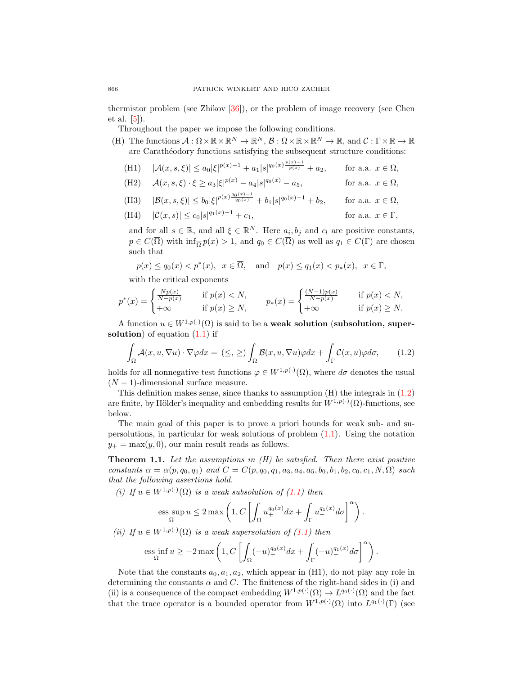thermistor problem (see Zhikov [\[36\]](#page-13-3)), or the problem of image recovery (see Chen et al. [\[5\]](#page-12-2)).

Throughout the paper we impose the following conditions.

(H) The functions  $\mathcal{A}: \Omega \times \mathbb{R} \times \mathbb{R}^N \to \mathbb{R}^N$ ,  $\mathcal{B}: \Omega \times \mathbb{R} \times \mathbb{R}^N \to \mathbb{R}$ , and  $\mathcal{C}: \Gamma \times \mathbb{R} \to \mathbb{R}$ are Carathéodory functions satisfying the subsequent structure conditions:

(H1) 
$$
|\mathcal{A}(x,s,\xi)| \le a_0 |\xi|^{p(x)-1} + a_1 |s|^{q_0(x)\frac{p(x)-1}{p(x)}} + a_2
$$
, for a.a.  $x \in \Omega$ ,

(H2) 
$$
\mathcal{A}(x, s, \xi) \cdot \xi \ge a_3 |\xi|^{p(x)} - a_4 |s|^{q_0(x)} - a_5,
$$
 for a.a.  $x \in \Omega$ ,

(H3) 
$$
|\mathcal{B}(x,s,\xi)| \le b_0 |\xi|^{p(x) \frac{q_0(x)-1}{q_0(x)}} + b_1 |s|^{q_0(x)-1} + b_2
$$
, for a.a.  $x \in \Omega$ ,

(H4) 
$$
|\mathcal{C}(x,s)| \leq c_0|s|^{q_1(x)-1} + c_1,
$$
 for a.a.  $x \in \Gamma$ ,

and for all  $s \in \mathbb{R}$ , and all  $\xi \in \mathbb{R}^N$ . Here  $a_i, b_j$  and  $c_l$  are positive constants,  $p \in C(\overline{\Omega})$  with  $\inf_{\overline{\Omega}} p(x) > 1$ , and  $q_0 \in C(\overline{\Omega})$  as well as  $q_1 \in C(\Gamma)$  are chosen such that

$$
p(x) \le q_0(x) < p^*(x), \quad x \in \overline{\Omega}, \quad \text{and} \quad p(x) \le q_1(x) < p_*(x), \quad x \in \Gamma,
$$

with the critical exponents

$$
p^*(x) = \begin{cases} \frac{Np(x)}{N-p(x)} & \text{if } p(x) < N, \\ +\infty & \text{if } p(x) \ge N, \end{cases} \qquad p_*(x) = \begin{cases} \frac{(N-1)p(x)}{N-p(x)} & \text{if } p(x) < N, \\ +\infty & \text{if } p(x) \ge N. \end{cases}
$$

A function  $u \in W^{1,p(\cdot)}(\Omega)$  is said to be a **weak solution** (subsolution, supersolution) of equation  $(1.1)$  if

<span id="page-1-0"></span>
$$
\int_{\Omega} \mathcal{A}(x, u, \nabla u) \cdot \nabla \varphi dx = (\leq, \geq) \int_{\Omega} \mathcal{B}(x, u, \nabla u) \varphi dx + \int_{\Gamma} \mathcal{C}(x, u) \varphi d\sigma, \qquad (1.2)
$$

holds for all nonnegative test functions  $\varphi \in W^{1,p(\cdot)}(\Omega)$ , where  $d\sigma$  denotes the usual  $(N-1)$ -dimensional surface measure.

This definition makes sense, since thanks to assumption  $(H)$  the integrals in  $(1.2)$ are finite, by Hölder's inequality and embedding results for  $W^{1,p(\cdot)}(\Omega)$ -functions, see below.

The main goal of this paper is to prove a priori bounds for weak sub- and supersolutions, in particular for weak solutions of problem  $(1.1)$ . Using the notation  $y_+ = \max(y, 0)$ , our main result reads as follows.

<span id="page-1-1"></span>**Theorem 1.1.** Let the assumptions in  $(H)$  be satisfied. Then there exist positive constants  $\alpha = \alpha(p, q_0, q_1)$  and  $C = C(p, q_0, q_1, a_3, a_4, a_5, b_0, b_1, b_2, c_0, c_1, N, \Omega)$  such that the following assertions hold.

(i) If  $u \in W^{1,p(\cdot)}(\Omega)$  is a weak subsolution of  $(1.1)$  then

$$
\text{ess}\sup_{\Omega} u \leq 2\max\left(1,C\left[\int_{\Omega} u^{q_0(x)}_{+}dx + \int_{\Gamma} u^{q_1(x)}_{+}d\sigma\right]^{\alpha}\right).
$$

(ii) If 
$$
u \in W^{1,p(\cdot)}(\Omega)
$$
 is a weak supersolution of (1.1) then

$$
\text{ess}\inf_{\Omega} u \ge -2\max\left(1, C\left[\int_{\Omega} (-u)_+^{q_0(x)} dx + \int_{\Gamma} (-u)_+^{q_1(x)} d\sigma\right]^\alpha\right).
$$

Note that the constants  $a_0, a_1, a_2$ , which appear in (H1), do not play any role in determining the constants  $\alpha$  and C. The finiteness of the right-hand sides in (i) and (ii) is a consequence of the compact embedding  $W^{1,p(\cdot)}(\Omega) \to L^{q_0(\cdot)}(\Omega)$  and the fact that the trace operator is a bounded operator from  $W^{1,p(\cdot)}(\Omega)$  into  $L^{q_1(\cdot)}(\Gamma)$  (see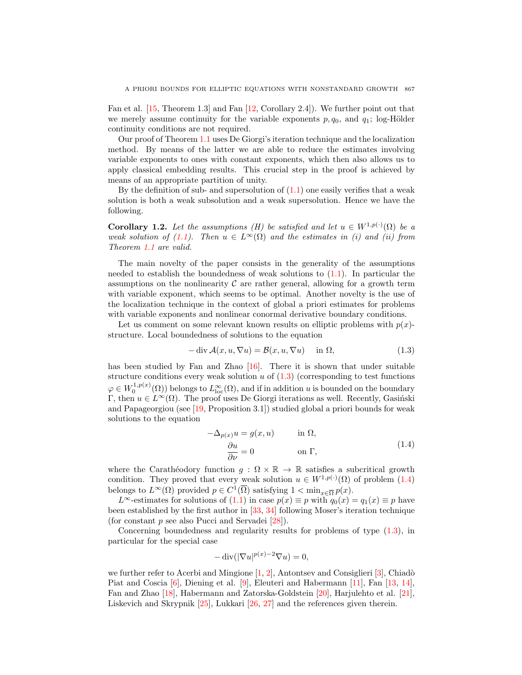Fan et al. [\[15,](#page-12-3) Theorem 1.3] and Fan [\[12,](#page-12-4) Corollary 2.4]). We further point out that we merely assume continuity for the variable exponents  $p, q_0$ , and  $q_1$ ; log-Hölder continuity conditions are not required.

Our proof of Theorem [1.1](#page-1-1) uses De Giorgi's iteration technique and the localization method. By means of the latter we are able to reduce the estimates involving variable exponents to ones with constant exponents, which then also allows us to apply classical embedding results. This crucial step in the proof is achieved by means of an appropriate partition of unity.

By the definition of sub- and supersolution of  $(1.1)$  one easily verifies that a weak solution is both a weak subsolution and a weak supersolution. Hence we have the following.

**Corollary 1.2.** Let the assumptions (H) be satisfied and let  $u \in W^{1,p(\cdot)}(\Omega)$  be a weak solution of [\(1.1\)](#page-0-0). Then  $u \in L^{\infty}(\Omega)$  and the estimates in (i) and (ii) from Theorem [1.1](#page-1-1) are valid.

The main novelty of the paper consists in the generality of the assumptions needed to establish the boundedness of weak solutions to  $(1.1)$ . In particular the assumptions on the nonlinearity  $\mathcal C$  are rather general, allowing for a growth term with variable exponent, which seems to be optimal. Another novelty is the use of the localization technique in the context of global a priori estimates for problems with variable exponents and nonlinear conormal derivative boundary conditions.

Let us comment on some relevant known results on elliptic problems with  $p(x)$ structure. Local boundedness of solutions to the equation

<span id="page-2-0"></span>
$$
-\operatorname{div} \mathcal{A}(x, u, \nabla u) = \mathcal{B}(x, u, \nabla u) \quad \text{in } \Omega,
$$
\n(1.3)

has been studied by Fan and Zhao [\[16\]](#page-12-5). There it is shown that under suitable structure conditions every weak solution  $u$  of  $(1.3)$  (corresponding to test functions  $\varphi \in W_0^{1,p(x)}(\Omega)$  belongs to  $L^{\infty}_{loc}(\Omega)$ , and if in addition u is bounded on the boundary Γ, then  $u \in L^{\infty}(\Omega)$ . The proof uses De Giorgi iterations as well. Recently, Gasiński and Papageorgiou (see [\[19,](#page-12-6) Proposition 3.1]) studied global a priori bounds for weak solutions to the equation

<span id="page-2-1"></span>
$$
-\Delta_{p(x)}u = g(x, u) \qquad \text{in } \Omega,
$$
  
\n
$$
\frac{\partial u}{\partial \nu} = 0 \qquad \text{on } \Gamma,
$$
\n(1.4)

where the Carathéodory function  $g : \Omega \times \mathbb{R} \to \mathbb{R}$  satisfies a subcritical growth condition. They proved that every weak solution  $u \in W^{1,p(\cdot)}(\Omega)$  of problem  $(1.4)$ belongs to  $L^{\infty}(\Omega)$  provided  $p \in C^1(\overline{\Omega})$  satisfying  $1 < \min_{x \in \overline{\Omega}} p(x)$ .

L<sup>∞</sup>-estimates for solutions of [\(1.1\)](#page-0-0) in case  $p(x) \equiv p$  with  $q_0(x) = q_1(x) \equiv p$  have been established by the first author in [\[33,](#page-13-4) [34\]](#page-13-5) following Moser's iteration technique (for constant  $p$  see also Pucci and Servadei  $[28]$ ).

Concerning boundedness and regularity results for problems of type [\(1.3\)](#page-2-0), in particular for the special case

$$
-\operatorname{div}(|\nabla u|^{p(x)-2}\nabla u) = 0,
$$

we further refer to Acerbi and Mingione  $[1, 2]$  $[1, 2]$ , Antontsev and Consiglieri  $[3]$ , Chiadò Piat and Coscia [\[6\]](#page-12-10), Diening et al. [\[9\]](#page-12-11), Eleuteri and Habermann [\[11\]](#page-12-12), Fan [\[13,](#page-12-13) [14\]](#page-12-14), Fan and Zhao [\[18\]](#page-12-15), Habermann and Zatorska-Goldstein [\[20\]](#page-12-16), Harjulehto et al. [\[21\]](#page-12-17), Liskevich and Skrypnik [\[25\]](#page-12-18), Lukkari [\[26,](#page-12-19) [27\]](#page-13-7) and the references given therein.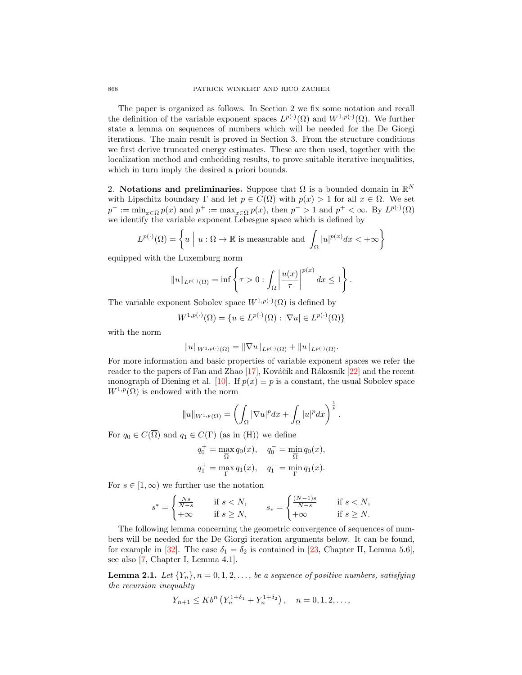The paper is organized as follows. In Section 2 we fix some notation and recall the definition of the variable exponent spaces  $L^{p(\cdot)}(\Omega)$  and  $W^{1,p(\cdot)}(\Omega)$ . We further state a lemma on sequences of numbers which will be needed for the De Giorgi iterations. The main result is proved in Section 3. From the structure conditions we first derive truncated energy estimates. These are then used, together with the localization method and embedding results, to prove suitable iterative inequalities, which in turn imply the desired a priori bounds.

2. Notations and preliminaries. Suppose that  $\Omega$  is a bounded domain in  $\mathbb{R}^N$ with Lipschitz boundary  $\Gamma$  and let  $p \in C(\overline{\Omega})$  with  $p(x) > 1$  for all  $x \in \overline{\Omega}$ . We set  $p^- := \min_{x \in \overline{\Omega}} p(x)$  and  $p^+ := \max_{x \in \overline{\Omega}} p(x)$ , then  $p^- > 1$  and  $p^+ < \infty$ . By  $L^{p(\cdot)}(\Omega)$ we identify the variable exponent Lebesgue space which is defined by

$$
L^{p(\cdot)}(\Omega) = \left\{ u \mid u : \Omega \to \mathbb{R} \text{ is measurable and } \int_{\Omega} |u|^{p(x)} dx < +\infty \right\}
$$

equipped with the Luxemburg norm

$$
||u||_{L^{p(\cdot)}(\Omega)} = \inf \left\{ \tau > 0 : \int_{\Omega} \left| \frac{u(x)}{\tau} \right|^{p(x)} dx \le 1 \right\}.
$$

The variable exponent Sobolev space  $W^{1,p(\cdot)}(\Omega)$  is defined by

$$
W^{1,p(\cdot)}(\Omega) = \{ u \in L^{p(\cdot)}(\Omega) : |\nabla u| \in L^{p(\cdot)}(\Omega) \}
$$

with the norm

$$
||u||_{W^{1,p(\cdot)}(\Omega)} = ||\nabla u||_{L^{p(\cdot)}(\Omega)} + ||u||_{L^{p(\cdot)}(\Omega)}.
$$

For more information and basic properties of variable exponent spaces we refer the reader to the papers of Fan and Zhao  $[17]$ , Kováčik and Rákosník  $[22]$  and the recent monograph of Diening et al. [\[10\]](#page-12-22). If  $p(x) \equiv p$  is a constant, the usual Sobolev space  $W^{1,p}(\Omega)$  is endowed with the norm

$$
||u||_{W^{1,p}(\Omega)} = \left(\int_{\Omega} |\nabla u|^p dx + \int_{\Omega} |u|^p dx\right)^{\frac{1}{p}}.
$$

For  $q_0 \in C(\overline{\Omega})$  and  $q_1 \in C(\Gamma)$  (as in (H)) we define

$$
q_0^+ = \max_{\overline{\Omega}} q_0(x), \quad q_0^- = \min_{\overline{\Omega}} q_0(x),
$$
  
 $q_1^+ = \max_{\Gamma} q_1(x), \quad q_1^- = \min_{\Gamma} q_1(x).$ 

For  $s \in [1,\infty)$  we further use the notation

$$
s^* = \begin{cases} \frac{Ns}{N-s} & \text{if } s < N, \\ +\infty & \text{if } s \ge N, \end{cases} \qquad s_* = \begin{cases} \frac{(N-1)s}{N-s} & \text{if } s < N, \\ +\infty & \text{if } s \ge N. \end{cases}
$$

The following lemma concerning the geometric convergence of sequences of numbers will be needed for the De Giorgi iteration arguments below. It can be found, for example in [\[32\]](#page-13-8). The case  $\delta_1 = \delta_2$  is contained in [\[23,](#page-12-23) Chapter II, Lemma 5.6], see also [\[7,](#page-12-24) Chapter I, Lemma 4.1].

<span id="page-3-0"></span>**Lemma 2.1.** Let  $\{Y_n\}, n = 0, 1, 2, \ldots$ , be a sequence of positive numbers, satisfying the recursion inequality

$$
Y_{n+1} \leq K b^{n} \left( Y_{n}^{1+\delta_{1}} + Y_{n}^{1+\delta_{2}} \right), \quad n = 0, 1, 2, \dots,
$$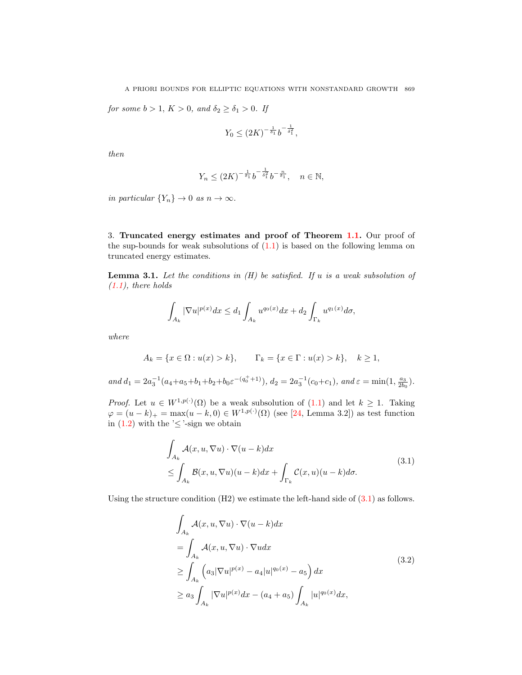A PRIORI BOUNDS FOR ELLIPTIC EQUATIONS WITH NONSTANDARD GROWTH 869

for some  $b > 1$ ,  $K > 0$ , and  $\delta_2 \geq \delta_1 > 0$ . If

$$
Y_0 \le (2K)^{-\frac{1}{\delta_1}} b^{-\frac{1}{\delta_1^2}},
$$

then

$$
Y_n \le (2K)^{-\frac{1}{\delta_1}} b^{-\frac{1}{\delta_1^2}} b^{-\frac{n}{\delta_1}}, \quad n \in \mathbb{N},
$$

in particular  $\{Y_n\} \to 0$  as  $n \to \infty$ .

3. Truncated energy estimates and proof of Theorem [1.1.](#page-1-1) Our proof of the sup-bounds for weak subsolutions of  $(1.1)$  is based on the following lemma on truncated energy estimates.

<span id="page-4-1"></span>**Lemma 3.1.** Let the conditions in  $(H)$  be satisfied. If u is a weak subsolution of  $(1.1)$ , there holds

$$
\int_{A_k}|\nabla u|^{p(x)}dx\leq d_1\int_{A_k}u^{q_0(x)}dx+d_2\int_{\Gamma_k}u^{q_1(x)}d\sigma,
$$

where

$$
A_k = \{x \in \Omega : u(x) > k\},
$$
  $\Gamma_k = \{x \in \Gamma : u(x) > k\},$   $k \ge 1$ ,

and  $d_1 = 2a_3^{-1}(a_4 + a_5 + b_1 + b_2 + b_0 \varepsilon^{-(q_0^+ + 1)}), d_2 = 2a_3^{-1}(c_0 + c_1),$  and  $\varepsilon = \min(1, \frac{a_3}{2b_0}).$ 

*Proof.* Let  $u \in W^{1,p(\cdot)}(\Omega)$  be a weak subsolution of  $(1.1)$  and let  $k \geq 1$ . Taking  $\varphi = (u - k)_+ = \max(u - k, 0) \in W^{1, p(\cdot)}(\Omega)$  (see [\[24,](#page-12-25) Lemma 3.2]) as test function in  $(1.2)$  with the ' $\leq$ '-sign we obtain

$$
\int_{A_k} \mathcal{A}(x, u, \nabla u) \cdot \nabla (u - k) dx
$$
\n
$$
\leq \int_{A_k} \mathcal{B}(x, u, \nabla u) (u - k) dx + \int_{\Gamma_k} \mathcal{C}(x, u) (u - k) d\sigma.
$$
\n(3.1)

Using the structure condition  $(H2)$  we estimate the left-hand side of  $(3.1)$  as follows.

<span id="page-4-0"></span>
$$
\int_{A_k} \mathcal{A}(x, u, \nabla u) \cdot \nabla (u - k) dx
$$
\n
$$
= \int_{A_k} \mathcal{A}(x, u, \nabla u) \cdot \nabla u dx
$$
\n
$$
\geq \int_{A_k} \left( a_3 |\nabla u|^{p(x)} - a_4 |u|^{q_0(x)} - a_5 \right) dx
$$
\n
$$
\geq a_3 \int_{A_k} |\nabla u|^{p(x)} dx - (a_4 + a_5) \int_{A_k} |u|^{q_0(x)} dx,
$$
\n(3.2)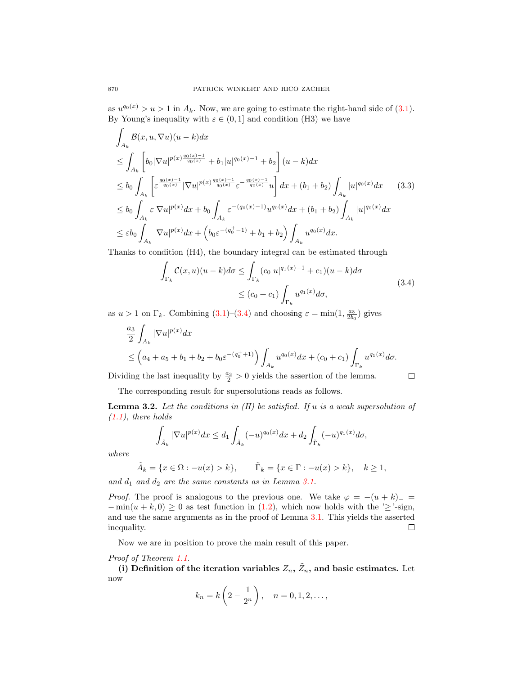as  $u^{q_0(x)} > u > 1$  in  $A_k$ . Now, we are going to estimate the right-hand side of [\(3.1\)](#page-4-0). By Young's inequality with  $\varepsilon \in (0, 1]$  and condition (H3) we have

$$
\int_{A_k} \mathcal{B}(x, u, \nabla u)(u - k) dx
$$
\n
$$
\leq \int_{A_k} \left[ b_0 |\nabla u|^{p(x) \frac{q_0(x) - 1}{q_0(x)}} + b_1 |u|^{q_0(x) - 1} + b_2 \right] (u - k) dx
$$
\n
$$
\leq b_0 \int_{A_k} \left[ \varepsilon^{\frac{q_0(x) - 1}{q_0(x)}} |\nabla u|^{p(x) \frac{q_0(x) - 1}{q_0(x)}} \varepsilon^{-\frac{q_0(x) - 1}{q_0(x)}} u \right] dx + (b_1 + b_2) \int_{A_k} |u|^{q_0(x)} dx \qquad (3.3)
$$
\n
$$
\leq b_0 \int_{A_k} \varepsilon |\nabla u|^{p(x)} dx + b_0 \int_{A_k} \varepsilon^{-(q_0(x) - 1)} u^{q_0(x)} dx + (b_1 + b_2) \int_{A_k} |u|^{q_0(x)} dx
$$
\n
$$
\leq \varepsilon b_0 \int_{A_k} |\nabla u|^{p(x)} dx + \left( b_0 \varepsilon^{-(q_0^+ - 1)} + b_1 + b_2 \right) \int_{A_k} u^{q_0(x)} dx.
$$

Thanks to condition (H4), the boundary integral can be estimated through

$$
\int_{\Gamma_k} C(x, u)(u - k)d\sigma \le \int_{\Gamma_k} (c_0|u|^{q_1(x) - 1} + c_1)(u - k)d\sigma
$$
\n
$$
\le (c_0 + c_1) \int_{\Gamma_k} u^{q_1(x)}d\sigma,
$$
\n(3.4)

<span id="page-5-0"></span> $\Box$ 

as  $u > 1$  on  $\Gamma_k$ . Combining [\(3.1\)](#page-4-0)–[\(3.4\)](#page-5-0) and choosing  $\varepsilon = \min(1, \frac{a_3}{2b_0})$  gives

$$
\frac{a_3}{2} \int_{A_k} |\nabla u|^{p(x)} dx
$$
\n
$$
\leq (a_4 + a_5 + b_1 + b_2 + b_0 \varepsilon^{-(q_0^+ + 1)}) \int_{A_k} u^{q_0(x)} dx + (c_0 + c_1) \int_{\Gamma_k} u^{q_1(x)} d\sigma.
$$

Dividing the last inequality by  $\frac{a_3}{2} > 0$  yields the assertion of the lemma.

The corresponding result for supersolutions reads as follows.

<span id="page-5-1"></span>**Lemma 3.2.** Let the conditions in  $(H)$  be satisfied. If u is a weak supersolution of  $(1.1)$ , there holds

$$
\int_{\tilde{A}_k} |\nabla u|^{p(x)} dx \le d_1 \int_{\tilde{A}_k} (-u)^{q_0(x)} dx + d_2 \int_{\tilde{\Gamma}_k} (-u)^{q_1(x)} d\sigma,
$$

where

$$
\tilde{A}_k = \{ x \in \Omega : -u(x) > k \}, \qquad \tilde{\Gamma}_k = \{ x \in \Gamma : -u(x) > k \}, \quad k \ge 1,
$$

and  $d_1$  and  $d_2$  are the same constants as in Lemma [3.1.](#page-4-1)

*Proof.* The proof is analogous to the previous one. We take  $\varphi = -(u + k)$ <sub>−</sub>  $-\min(u+k,0) \geq 0$  as test function in [\(1.2\)](#page-1-0), which now holds with the ' $\geq$ '-sign, and use the same arguments as in the proof of Lemma [3.1.](#page-4-1) This yields the asserted inequality.  $\Box$ 

Now we are in position to prove the main result of this paper.

Proof of Theorem [1.1.](#page-1-1)

(i) Definition of the iteration variables  $Z_n$ ,  $\tilde{Z}_n$ , and basic estimates. Let now

$$
k_n = k\left(2 - \frac{1}{2^n}\right), \quad n = 0, 1, 2, \dots,
$$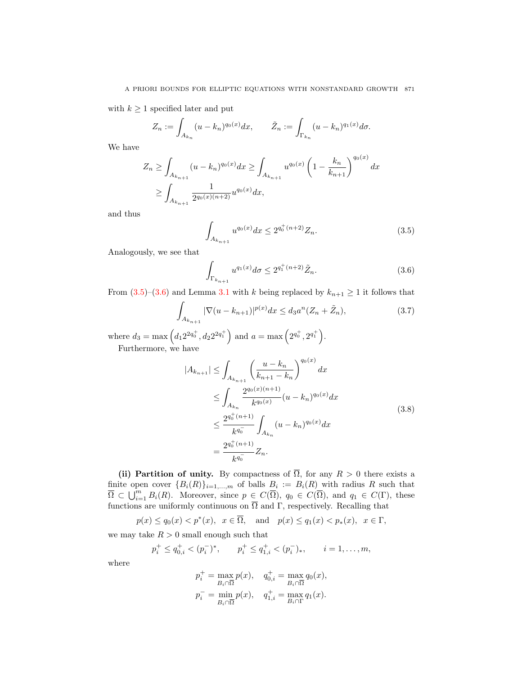with  $k \geq 1$  specified later and put

$$
Z_n := \int_{A_{k_n}} (u - k_n)^{q_0(x)} dx, \qquad \tilde{Z}_n := \int_{\Gamma_{k_n}} (u - k_n)^{q_1(x)} d\sigma.
$$

We have

$$
Z_n \ge \int_{A_{k_{n+1}}} (u - k_n)^{q_0(x)} dx \ge \int_{A_{k_{n+1}}} u^{q_0(x)} \left(1 - \frac{k_n}{k_{n+1}}\right)^{q_0(x)} dx
$$
  

$$
\ge \int_{A_{k_{n+1}}} \frac{1}{2^{q_0(x)(n+2)}} u^{q_0(x)} dx,
$$

and thus

<span id="page-6-0"></span>
$$
\int_{A_{k_{n+1}}} u^{q_0(x)} dx \le 2^{q_0^+(n+2)} Z_n.
$$
\n(3.5)

Analogously, we see that

<span id="page-6-2"></span><span id="page-6-1"></span>
$$
\int_{\Gamma_{k_{n+1}}} u^{q_1(x)} d\sigma \le 2^{q_1^+(n+2)} \tilde{Z}_n.
$$
\n(3.6)

From  $(3.5)-(3.6)$  $(3.5)-(3.6)$  and Lemma [3.1](#page-4-1) with k being replaced by  $k_{n+1} \geq 1$  it follows that

$$
\int_{A_{k_{n+1}}} |\nabla(u - k_{n+1})|^{p(x)} dx \leq d_3 a^n (Z_n + \tilde{Z}_n),
$$
\n(3.7)

where  $d_3 = \max\left(d_1 2^{2q_0^+}, d_2 2^{2q_1^+}\right)$  and  $a = \max\left(2^{q_0^+}, 2^{q_1^+}\right)$ .

Furthermore, we have

<span id="page-6-3"></span>
$$
|A_{k_{n+1}}| \leq \int_{A_{k_{n+1}}} \left(\frac{u - k_n}{k_{n+1} - k_n}\right)^{q_0(x)} dx
$$
  
\n
$$
\leq \int_{A_{k_n}} \frac{2^{q_0(x)(n+1)}}{k^{q_0(x)}} (u - k_n)^{q_0(x)} dx
$$
  
\n
$$
\leq \frac{2^{q_0^+(n+1)}}{k^{q_0^-}} \int_{A_{k_n}} (u - k_n)^{q_0(x)} dx
$$
  
\n
$$
= \frac{2^{q_0^+(n+1)}}{k^{q_0^-}} Z_n.
$$
  
\n(3.8)

(ii) Partition of unity. By compactness of  $\overline{\Omega}$ , for any  $R > 0$  there exists a finite open cover  ${B_i(R)}_{i=1,\dots,m}$  of balls  $B_i := B_i(R)$  with radius R such that  $\overline{\Omega} \subset \bigcup_{i=1}^m B_i(R)$ . Moreover, since  $p \in C(\overline{\Omega})$ ,  $q_0 \in C(\overline{\Omega})$ , and  $q_1 \in C(\Gamma)$ , these functions are uniformly continuous on  $\Omega$  and  $\Gamma$ , respectively. Recalling that

$$
p(x) \le q_0(x) < p^*(x), \quad x \in \overline{\Omega}, \quad \text{and} \quad p(x) \le q_1(x) < p_*(x), \quad x \in \Gamma,
$$

we may take  $R > 0$  small enough such that

$$
p_i^+ \le q_{0,i}^+ < (p_i^-)^*
$$
,  $p_i^+ \le q_{1,i}^+ < (p_i^-)_*$ ,  $i = 1, ..., m$ ,

where

$$
\begin{aligned} p_i^+ &= \max_{B_i \cap \overline{\Omega}} p(x), \quad q_{0,i}^+ = \max_{B_i \cap \overline{\Omega}} q_0(x), \\ p_i^- &= \min_{B_i \cap \overline{\Omega}} p(x), \quad q_{1,i}^+ = \max_{B_i \cap \overline{\Omega}} q_1(x). \end{aligned}
$$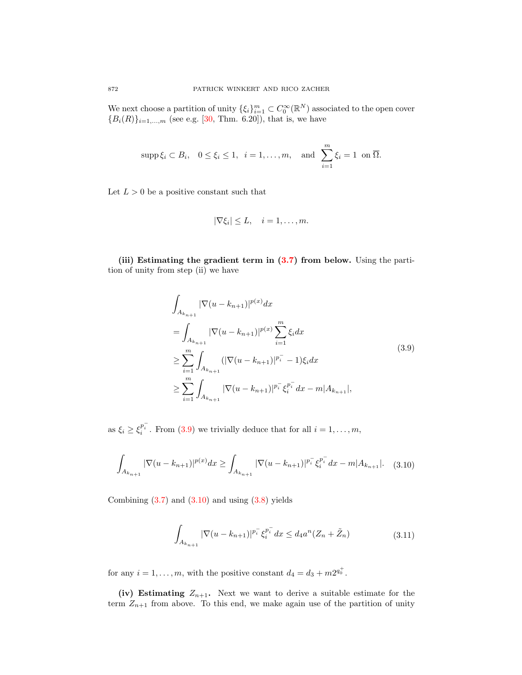We next choose a partition of unity  $\{\xi_i\}_{i=1}^m \subset C_0^{\infty}(\mathbb{R}^N)$  associated to the open cover  ${B_i(R)}_{i=1,...,m}$  (see e.g. [\[30,](#page-13-9) Thm. 6.20]), that is, we have

$$
\operatorname{supp}\xi_i\subset B_i,\quad 0\leq\xi_i\leq 1,\ \ i=1,\ldots,m,\quad\text{and}\ \ \sum_{i=1}^m\xi_i=1\ \ \text{on}\ \overline{\Omega}.
$$

Let  $L > 0$  be a positive constant such that

<span id="page-7-0"></span>
$$
|\nabla \xi_i| \leq L, \quad i = 1, \dots, m.
$$

(iii) Estimating the gradient term in  $(3.7)$  from below. Using the partition of unity from step (ii) we have

$$
\int_{A_{k_{n+1}}} |\nabla(u - k_{n+1})|^{p(x)} dx
$$
\n
$$
= \int_{A_{k_{n+1}}} |\nabla(u - k_{n+1})|^{p(x)} \sum_{i=1}^{m} \xi_i dx
$$
\n
$$
\geq \sum_{i=1}^{m} \int_{A_{k_{n+1}}} (|\nabla(u - k_{n+1})|^{p_i^-} - 1) \xi_i dx
$$
\n
$$
\geq \sum_{i=1}^{m} \int_{A_{k_{n+1}}} |\nabla(u - k_{n+1})|^{p_i^-} \xi_i^{p_i^-} dx - m|A_{k_{n+1}}|,
$$
\n(3.9)

as  $\xi_i \ge \xi_i^{p_i^-}$ . From [\(3.9\)](#page-7-0) we trivially deduce that for all  $i = 1, ..., m$ ,

$$
\int_{A_{k_{n+1}}} |\nabla(u - k_{n+1})|^{p(x)} dx \ge \int_{A_{k_{n+1}}} |\nabla(u - k_{n+1})|^{p_i^-} \xi_i^{p_i^-} dx - m|A_{k_{n+1}}|.
$$
 (3.10)

Combining  $(3.7)$  and  $(3.10)$  and using  $(3.8)$  yields

<span id="page-7-2"></span><span id="page-7-1"></span>
$$
\int_{A_{k_{n+1}}} |\nabla(u - k_{n+1})|^{p_i^-} \xi_i^{p_i^-} dx \le d_4 a^n (Z_n + \tilde{Z}_n)
$$
\n(3.11)

for any  $i = 1, \ldots, m$ , with the positive constant  $d_4 = d_3 + m2^{q_0^+}$ .

(iv) Estimating  $Z_{n+1}$ . Next we want to derive a suitable estimate for the term  $Z_{n+1}$  from above. To this end, we make again use of the partition of unity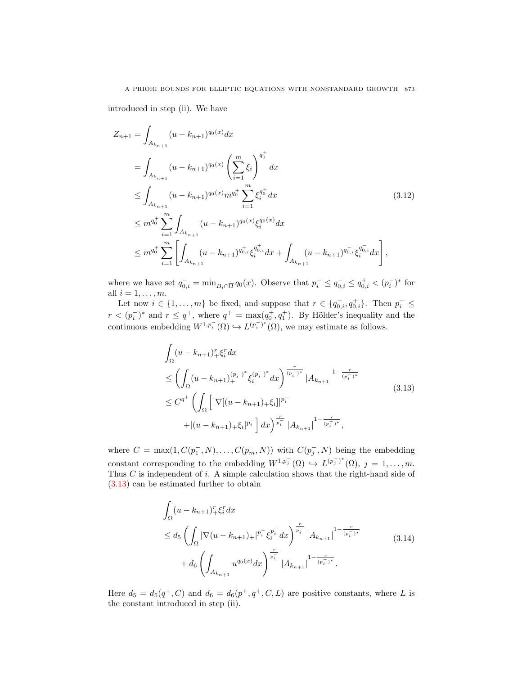## A PRIORI BOUNDS FOR ELLIPTIC EQUATIONS WITH NONSTANDARD GROWTH 873

introduced in step (ii). We have

$$
Z_{n+1} = \int_{A_{k_{n+1}}} (u - k_{n+1})^{q_0(x)} dx
$$
  
\n
$$
= \int_{A_{k_{n+1}}} (u - k_{n+1})^{q_0(x)} \left(\sum_{i=1}^m \xi_i\right)^{q_0^+} dx
$$
  
\n
$$
\leq \int_{A_{k_{n+1}}} (u - k_{n+1})^{q_0(x)} m^{q_0^+} \sum_{i=1}^m \xi_i^{q_0^+} dx
$$
  
\n
$$
\leq m^{q_0^+} \sum_{i=1}^m \int_{A_{k_{n+1}}} (u - k_{n+1})^{q_0(x)} \xi_i^{q_0(x)} dx
$$
  
\n
$$
\leq m^{q_0^+} \sum_{i=1}^m \left[ \int_{A_{k_{n+1}}} (u - k_{n+1})^{q_{0,i}^+} \xi_i^{q_{0,i}^+} dx + \int_{A_{k_{n+1}}} (u - k_{n+1})^{q_{0,i}^-} \xi_i^{q_{0,i}^-} dx \right],
$$
\n(3.12)

where we have set  $q_{0,i}^- = \min_{B_i \cap \overline{\Omega}} q_0(x)$ . Observe that  $p_i^- \leq q_{0,i}^- \leq q_{0,i}^+ < (p_i^-)^*$  for all  $i = 1, \ldots, m$ .

Let now  $i \in \{1, \ldots, m\}$  be fixed, and suppose that  $r \in \{q_{0,i}^-, q_{0,i}^+\}$ . Then  $p_i^- \leq$  $r < (p_i^-)^*$  and  $r \leq q^+$ , where  $q^+ = \max(q_0^+, q_1^+)$ . By Hölder's inequality and the continuous embedding  $W^{1,p_i^-}(\Omega) \hookrightarrow L^{(p_i^-)^*}(\Omega)$ , we may estimate as follows.

<span id="page-8-1"></span><span id="page-8-0"></span>
$$
\int_{\Omega} (u - k_{n+1})_{+}^{r} \xi_{i}^{r} dx
$$
\n
$$
\leq \left( \int_{\Omega} (u - k_{n+1})_{+}^{(p_{i}^{-})^{*}} \xi_{i}^{(p_{i}^{-})^{*}} dx \right)^{\frac{r}{(p_{i}^{-})^{*}}} |A_{k_{n+1}}|^{1 - \frac{r}{(p_{i}^{-})^{*}}} \\
\leq C^{q^{+}} \left( \int_{\Omega} \left[ |\nabla[(u - k_{n+1})_{+} \xi_{i}]|^{p_{i}^{-}} + |(u - k_{n+1})_{+} \xi_{i}|^{p_{i}^{-}} \right] dx \right)^{\frac{r}{p_{i}^{-}}} |A_{k_{n+1}}|^{1 - \frac{r}{(p_{i}^{-})^{*}}},
$$
\n(3.13)

where  $C = \max(1, C(p_1^-, N), \ldots, C(p_m^-, N))$  with  $C(p_j^-, N)$  being the embedding constant corresponding to the embedding  $W^{1,p_j^-}(\Omega) \hookrightarrow L^{(p_j^-)^*}(\Omega), j = 1,\ldots,m.$ Thus  $C$  is independent of  $i$ . A simple calculation shows that the right-hand side of [\(3.13\)](#page-8-0) can be estimated further to obtain

<span id="page-8-2"></span>
$$
\int_{\Omega} (u - k_{n+1})_{+}^{r} \xi_{i}^{r} dx
$$
\n
$$
\leq d_{5} \left( \int_{\Omega} |\nabla (u - k_{n+1})_{+}|^{p_{i}^{-}} \xi_{i}^{p_{i}^{-}} dx \right)^{\frac{r}{p_{i}^{-}}} |A_{k_{n+1}}|^{1 - \frac{r}{(p_{i}^{-})^{*}}} \qquad (3.14)
$$
\n
$$
+ d_{6} \left( \int_{A_{k_{n+1}}} u^{q_{0}(x)} dx \right)^{\frac{r}{p_{i}^{-}}} |A_{k_{n+1}}|^{1 - \frac{r}{(p_{i}^{-})^{*}}}.
$$

Here  $d_5 = d_5(q^+, C)$  and  $d_6 = d_6(p^+, q^+, C, L)$  are positive constants, where L is the constant introduced in step (ii).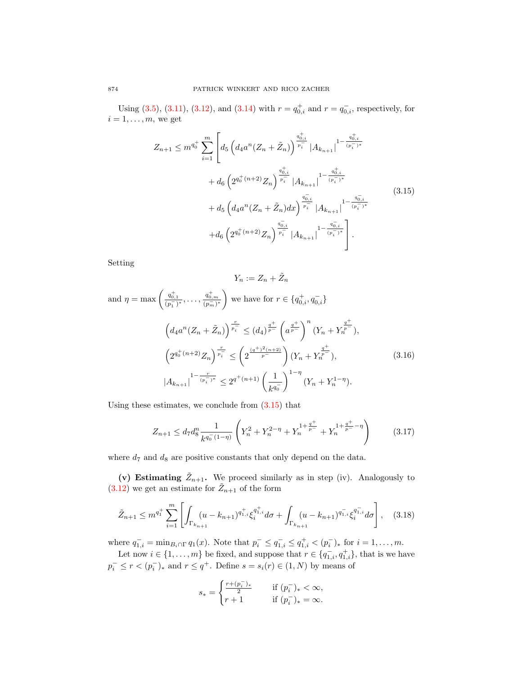Using [\(3.5\)](#page-6-0), [\(3.11\)](#page-7-2), [\(3.12\)](#page-8-1), and [\(3.14\)](#page-8-2) with  $r = q_{0,i}^+$  and  $r = q_{0,i}^-$ , respectively, for  $i = 1, \ldots, m$ , we get

$$
Z_{n+1} \leq m^{q_0^+} \sum_{i=1}^m \left[ d_5 \left( d_4 a^n (Z_n + \tilde{Z}_n) \right)^{\frac{q_{0,i}^+}{p_i^-}} \left| A_{k_{n+1}} \right|^{1 - \frac{q_{0,i}^+}{(p_i^-)^*}} \right. \\
\left. + d_6 \left( 2^{q_0^+ (n+2)} Z_n \right)^{\frac{q_{0,i}^+}{p_i^-}} \left| A_{k_{n+1}} \right|^{1 - \frac{q_{0,i}^+}{(p_i^-)^*}} \right. \\
\left. + d_5 \left( d_4 a^n (Z_n + \tilde{Z}_n) dx \right)^{\frac{q_{0,i}^-}{p_i^-}} \left| A_{k_{n+1}} \right|^{1 - \frac{q_{0,i}^-}{(p_i^-)^*}} \right. \\
\left. + d_6 \left( 2^{q_0^+ (n+2)} Z_n \right)^{\frac{q_{0,i}^-}{p_i^-}} \left| A_{k_{n+1}} \right|^{1 - \frac{q_{0,i}^-}{(p_i^-)^*}} \right].
$$
\n
$$
(3.15)
$$

Setting

<span id="page-9-3"></span><span id="page-9-2"></span><span id="page-9-0"></span>
$$
Y_n := Z_n + \tilde{Z}_n
$$

and 
$$
\eta = \max \left( \frac{q_{0,1}^+}{(p_1^-)^*}, \dots, \frac{q_{0,m}^+}{(p_m^-)^*} \right)
$$
 we have for  $r \in \{q_{0,i}^+, q_{0,i}^-\}$   
\n
$$
\left( d_4 a^n (Z_n + \tilde{Z}_n) \right)^{\frac{r}{p_i^-}} \leq (d_4)^{\frac{q^+}{p^-}} \left( a^{\frac{q^+}{p^-}} \right)^n (Y_n + Y_n^{\frac{q^+}{p^-}}),
$$
\n
$$
\left( 2^{q_0^+ (n+2)} Z_n \right)^{\frac{r}{p_i^-}} \leq \left( 2^{\frac{(q^+)^2 (n+2)}{p^-}} \right) (Y_n + Y_n^{\frac{q^+}{p^-}}),
$$
\n
$$
\left| A_{k_{n+1}} \right|^{1 - \frac{r}{(p_i^-)^*}} \leq 2^{q^+(n+1)} \left( \frac{1}{k^{q_0^-}} \right)^{1-\eta} (Y_n + Y_n^{1-\eta}).
$$
\n(3.16)

Using these estimates, we conclude from [\(3.15\)](#page-9-0) that

$$
Z_{n+1} \le d_7 d_8^n \frac{1}{k^{q_0^-(1-\eta)}} \left( Y_n^2 + Y_n^{2-\eta} + Y_n^{1+\frac{q^+}{p^-}} + Y_n^{1+\frac{q^+}{p^-}-\eta} \right) \tag{3.17}
$$

where  $d_7$  and  $d_8$  are positive constants that only depend on the data.

(v) Estimating  $\tilde{Z}_{n+1}$ . We proceed similarly as in step (iv). Analogously to  $(3.12)$  we get an estimate for  $\tilde{Z}_{n+1}$  of the form

$$
\tilde{Z}_{n+1} \le m^{q_1^+} \sum_{i=1}^m \left[ \int_{\Gamma_{k_{n+1}}} (u - k_{n+1})^{q_{1,i}^+} \xi_i^{q_{1,i}^+} d\sigma + \int_{\Gamma_{k_{n+1}}} (u - k_{n+1})^{q_{1,i}^-} \xi_i^{q_{1,i}^-} d\sigma \right], \quad (3.18)
$$

where  $q_{1,i}^- = \min_{B_i \cap \Gamma} q_1(x)$ . Note that  $p_i^- \leq q_{1,i}^- \leq q_{1,i}^+ < (p_i^-)_*$  for  $i = 1, \ldots, m$ .

Let now  $i \in \{1, \ldots, m\}$  be fixed, and suppose that  $r \in \{q_{1,i}^-, q_{1,i}^+\}$ , that is we have  $p_i^- \leq r < (p_i^-)_*$  and  $r \leq q^+$ . Define  $s = s_i(r) \in (1, N)$  by means of

<span id="page-9-1"></span>
$$
s_* = \begin{cases} \frac{r + (p_i^-)_*}{2} & \text{if } (p_i^-)_* < \infty, \\ r + 1 & \text{if } (p_i^-)_* = \infty. \end{cases}
$$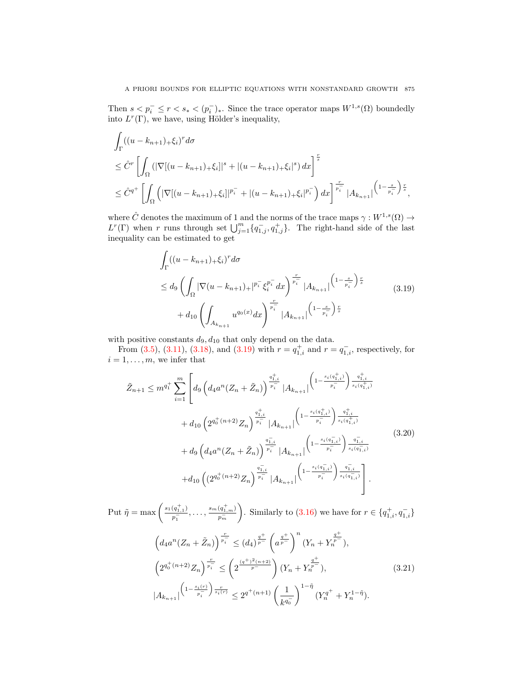Then  $s < p_i^- \leq r < s_* < (p_i^-)_*.$  Since the trace operator maps  $W^{1,s}(\Omega)$  boundedly into  $L^r(\Gamma)$ , we have, using Hölder's inequality,

$$
\int_{\Gamma} ((u - k_{n+1})_+ \xi_i)^r d\sigma
$$
\n
$$
\leq \hat{C}^r \left[ \int_{\Omega} (|\nabla[(u - k_{n+1})_+ \xi_i]|^s + |(u - k_{n+1})_+ \xi_i|^s) dx \right]^{\frac{r}{s}}
$$
\n
$$
\leq \hat{C}^{q^+} \left[ \int_{\Omega} (|\nabla[(u - k_{n+1})_+ \xi_i]|^{p_i^-} + |(u - k_{n+1})_+ \xi_i|^{p_i^-}) dx \right]^{\frac{r}{p_i^-}} |A_{k_{n+1}}|^{(1 - \frac{s}{p_i^-})^{\frac{r}{s}}},
$$

where  $\hat{C}$  denotes the maximum of 1 and the norms of the trace maps  $\gamma: W^{1,s}(\Omega) \to$  $L^r(\Gamma)$  when r runs through set  $\bigcup_{j=1}^m \{q_{1,j}^-, q_{1,j}^+\}$ . The right-hand side of the last inequality can be estimated to get

<span id="page-10-0"></span>
$$
\int_{\Gamma} ((u - k_{n+1})_{+} \xi_{i})^{r} d\sigma
$$
\n
$$
\leq d_{9} \left( \int_{\Omega} |\nabla (u - k_{n+1})_{+}|^{p_{i}^{-}} \xi_{i}^{p_{i}^{-}} dx \right)^{\frac{r}{p_{i}^{-}}} |A_{k_{n+1}}|^{(1 - \frac{s}{p_{i}^{-}}) \frac{r}{s}}
$$
\n
$$
+ d_{10} \left( \int_{A_{k_{n+1}}} u^{q_{0}(x)} dx \right)^{\frac{r}{p_{i}^{-}}} |A_{k_{n+1}}|^{(1 - \frac{s}{p_{i}^{-}}) \frac{r}{s}}
$$
\n(3.19)

with positive constants  $d_9, d_{10}$  that only depend on the data.

From [\(3.5\)](#page-6-0), [\(3.11\)](#page-7-2), [\(3.18\)](#page-9-1), and [\(3.19\)](#page-10-0) with  $r = q_{1,i}^+$  and  $r = q_{1,i}^-$ , respectively, for  $i = 1, \ldots, m$ , we infer that

<span id="page-10-1"></span>
$$
\tilde{Z}_{n+1} \leq m^{q_1^+} \sum_{i=1}^m \left[ d_9 \left( d_4 a^n (Z_n + \tilde{Z}_n) \right)^{\frac{q_{1,i}^+}{p_i^-}} |A_{k_{n+1}}| \left( 1 - \frac{s_i (q_{1,i}^+)}{p_i^-} \right)^{\frac{q_{1,i}^+}{s_i (q_{1,i}^+)}} \right. \\ \left. + d_{10} \left( 2^{q_0^+(n+2)} Z_n \right)^{\frac{q_{1,i}^+}{p_i^-}} |A_{k_{n+1}}| \left( 1 - \frac{s_i (q_{1,i}^+)}{p_i^-} \right)^{\frac{q_{1,i}^+}{s_i (q_{1,i}^+)}} \right. \\ \left. + d_9 \left( d_4 a^n (Z_n + \tilde{Z}_n) \right)^{\frac{q_{1,i}^-}{p_i^-}} |A_{k_{n+1}}| \left( 1 - \frac{s_i (q_{1,i}^-)}{p_i^-} \right)^{\frac{q_{1,i}^-}{s_i (q_{1,i}^+)}} \right] \right. \\ \left. + d_{10} \left( \left( 2^{q_0^+(n+2)} Z_n \right)^{\frac{q_{1,i}^-}{p_i^-}} |A_{k_{n+1}}| \left( 1 - \frac{s_i (q_{1,i}^-)}{p_i^-} \right)^{\frac{q_{1,i}^-}{s_i (q_{1,i}^-)}} \right) \right]. \tag{3.20}
$$

Put  $\tilde{\eta} = \max \left( \frac{s_1(q_{1,1}^+)}{s_1 - 1} \right)$  $\frac{(q^+_{1,1})}{p^-_1}, \ldots, \frac{s_m(q^+_{1,m})}{p^-_m}$  $\frac{1}{p_m^-}$ ). Similarly to [\(3.16\)](#page-9-2) we have for  $r \in \{q_{1,i}^+, q_{1,i}^-\}$  $\left(d_4 a^n (Z_n + \tilde{Z}_n)\right)^{\frac{r}{p_i}} \leq (d_4)^{\frac{q^+}{p^-}} \left(a^{\frac{q^+}{p^-}}\right)^n (Y_n + Y_n)$  $\left(\frac{q^+}{p^-}\right),$ 

<span id="page-10-2"></span>
$$
\left(2^{q_0^+(n+2)}Z_n\right)^{\frac{r}{p_i^-}} \le \left(2^{\frac{(q^+)^2(n+2)}{p^-}}\right)(Y_n + Y_n^{\frac{q^+}{p^-}}),\tag{3.21}
$$
\n
$$
|A_{k_{n+1}}|^{(1-\frac{s_i(r)}{p_i^-})\frac{r}{s_i(r)}} \le 2^{q^+(n+1)}\left(\frac{1}{k^{q_0^-}}\right)^{1-\tilde{\eta}}(Y_n^{q^+} + Y_n^{1-\tilde{\eta}}).
$$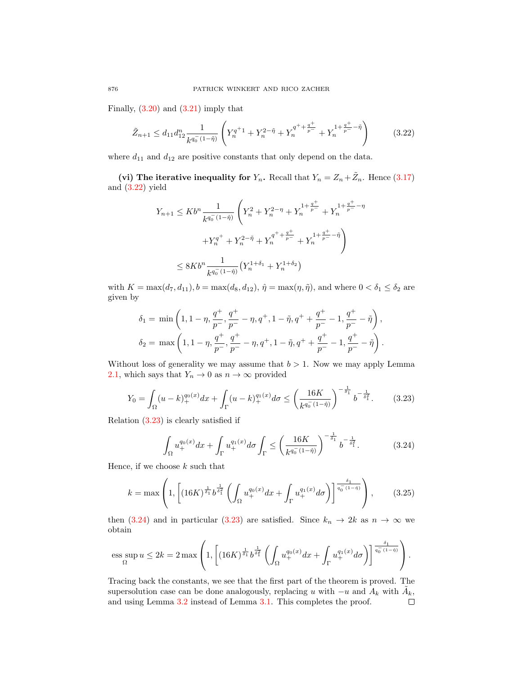Finally,  $(3.20)$  and  $(3.21)$  imply that

$$
\tilde{Z}_{n+1} \le d_{11} d_{12}^n \frac{1}{k^{q_0^-(1-\tilde{\eta})}} \left( Y_n^{q^+1} + Y_n^{2-\tilde{\eta}} + Y_n^{q^+ + \frac{q^+}{p^-}} + Y_n^{1+\frac{q^+}{p^-}-\tilde{\eta}} \right)
$$
(3.22)

where  $d_{11}$  and  $d_{12}$  are positive constants that only depend on the data.

(vi) The iterative inequality for  $Y_n$ . Recall that  $Y_n = Z_n + \tilde{Z}_n$ . Hence [\(3.17\)](#page-9-3) and [\(3.22\)](#page-11-0) yield

<span id="page-11-0"></span>
$$
Y_{n+1} \le Kb^{n} \frac{1}{k^{q_0^{-}}(1-\hat{\eta})} \left(Y_n^2 + Y_n^{2-\eta} + Y_n^{1+\frac{q^+}{p^-}} + Y_n^{1+\frac{q^+}{p^-}-\eta} + Y_n^{q^+ + \frac{q^+}{p^-}} + Y_n^{1+\frac{q^+}{p^-}-\tilde{\eta}}\right)
$$
  

$$
\le 8Kb^{n} \frac{1}{k^{q_0^{-}}(1-\hat{\eta})} \left(Y_n^{1+\delta_1} + Y_n^{1+\delta_2}\right)
$$

with  $K = \max(d_7, d_{11}), b = \max(d_8, d_{12}), \hat{\eta} = \max(\eta, \tilde{\eta}),$  and where  $0 < \delta_1 \leq \delta_2$  are given by

$$
\delta_1 = \min\left(1, 1 - \eta, \frac{q^+}{p^-}, \frac{q^+}{p^-} - \eta, q^+, 1 - \tilde{\eta}, q^+ + \frac{q^+}{p^-} - 1, \frac{q^+}{p^-} - \tilde{\eta}\right),
$$
  

$$
\delta_2 = \max\left(1, 1 - \eta, \frac{q^+}{p^-}, \frac{q^+}{p^-} - \eta, q^+, 1 - \tilde{\eta}, q^+ + \frac{q^+}{p^-} - 1, \frac{q^+}{p^-} - \tilde{\eta}\right).
$$

Without loss of generality we may assume that  $b > 1$ . Now we may apply Lemma [2.1,](#page-3-0) which says that  $Y_n \to 0$  as  $n \to \infty$  provided

$$
Y_0 = \int_{\Omega} (u - k)_+^{q_0(x)} dx + \int_{\Gamma} (u - k)_+^{q_1(x)} d\sigma \le \left(\frac{16K}{k^{q_0^-(1-\hat{\eta})}}\right)^{-\frac{1}{\delta_1}} b^{-\frac{1}{\delta_1^2}}.
$$
 (3.23)

Relation [\(3.23\)](#page-11-1) is clearly satisfied if

<span id="page-11-2"></span><span id="page-11-1"></span>
$$
\int_{\Omega} u_{+}^{q_0(x)} dx + \int_{\Gamma} u_{+}^{q_1(x)} d\sigma \int_{\Gamma} \leq \left(\frac{16K}{k^{q_0^-(1-\hat{\eta})}}\right)^{-\frac{1}{\delta_1}} b^{-\frac{1}{\delta_1^2}}.
$$
 (3.24)

Hence, if we choose  $k$  such that

$$
k = \max\left(1, \left[ (16K)^{\frac{1}{\delta_1}} b^{\frac{1}{\delta_1^2}} \left( \int_{\Omega} u_+^{q_0(x)} dx + \int_{\Gamma} u_+^{q_1(x)} d\sigma \right) \right]^{\frac{\delta_1}{q_0^-(1-\hat{\eta})}} \right),\tag{3.25}
$$

then [\(3.24\)](#page-11-2) and in particular [\(3.23\)](#page-11-1) are satisfied. Since  $k_n \to 2k$  as  $n \to \infty$  we obtain

$$
\text{ess}\sup_{\Omega} u \leq 2k = 2\max\left(1, \left[ (16K)^{\frac{1}{\delta_1}} b^{\frac{1}{\delta_1^2}} \left( \int_{\Omega} u_+^{q_0(x)} dx + \int_{\Gamma} u_+^{q_1(x)} d\sigma \right) \right]^{\frac{\delta_1}{q_0^-(1-\eta)}} \right).
$$

Tracing back the constants, we see that the first part of the theorem is proved. The supersolution case can be done analogously, replacing u with  $-u$  and  $A_k$  with  $\tilde{A}_k$ , and using Lemma [3.2](#page-5-1) instead of Lemma [3.1.](#page-4-1) This completes the proof. $\Box$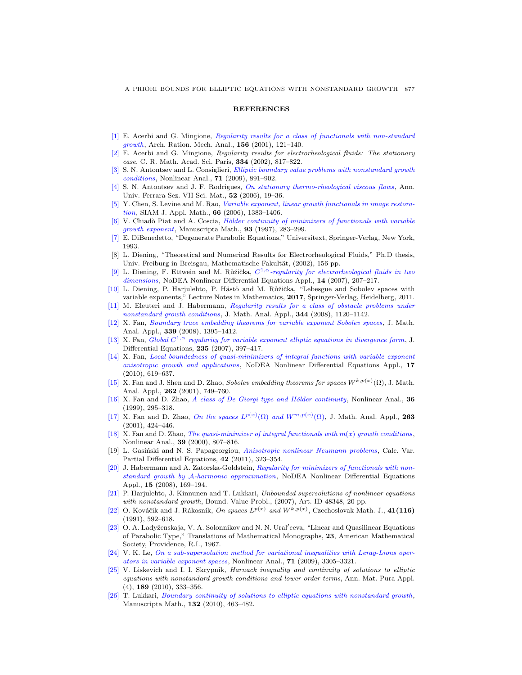## **REFERENCES**

- <span id="page-12-7"></span>[\[1\]](http://www.ams.org/mathscinet-getitem?mr=MR1814973&return=pdf) E. Acerbi and G. Mingione, [Regularity results for a class of functionals with non-standard](http://dx.doi.org/10.1007/s002050100117) [growth](http://dx.doi.org/10.1007/s002050100117), Arch. Ration. Mech. Anal., 156 (2001), 121-140.
- <span id="page-12-8"></span>[\[2\]](http://www.ams.org/mathscinet-getitem?mr=MR1905047&return=pdf) E. Acerbi and G. Mingione, Regularity results for electrorheological fluids: The stationary case, C. R. Math. Acad. Sci. Paris, 334 (2002), 817–822.
- <span id="page-12-9"></span>[\[3\]](http://www.ams.org/mathscinet-getitem?mr=MR2527510&return=pdf) S. N. Antontsev and L. Consiglieri, [Elliptic boundary value problems with nonstandard growth](http://dx.doi.org/10.1016/j.na.2008.10.109) [conditions](http://dx.doi.org/10.1016/j.na.2008.10.109), Nonlinear Anal., 71 (2009), 891–902.
- <span id="page-12-0"></span>[\[4\]](http://www.ams.org/mathscinet-getitem?mr=MR2246902&return=pdf) S. N. Antontsev and J. F. Rodrigues, [On stationary thermo-rheological viscous flows](http://dx.doi.org/10.1007/s11565-006-0002-9), Ann. Univ. Ferrara Sez. VII Sci. Mat., 52 (2006), 19–36.
- <span id="page-12-2"></span>[\[5\]](http://www.ams.org/mathscinet-getitem?mr=MR2246061&return=pdf) Y. Chen, S. Levine and M. Rao, [Variable exponent, linear growth functionals in image restora](http://dx.doi.org/10.1137/050624522)[tion](http://dx.doi.org/10.1137/050624522), SIAM J. Appl. Math., 66 (2006), 1383–1406.
- <span id="page-12-10"></span>[\[6\]](http://www.ams.org/mathscinet-getitem?mr=MR1457729&return=pdf) V. Chiadò Piat and A. Coscia, Hölder continuity of minimizers of functionals with variable [growth exponent](http://dx.doi.org/10.1007/BF02677472), Manuscripta Math., 93 (1997), 283-299.
- <span id="page-12-24"></span>[\[7\]](http://www.ams.org/mathscinet-getitem?mr=MR1230384&return=pdf) E. DiBenedetto, "Degenerate Parabolic Equations," Universitext, Springer-Verlag, New York, 1993.
- <span id="page-12-1"></span>[8] L. Diening, "Theoretical and Numerical Results for Electrorheological Fluids," Ph.D thesis, Univ. Freiburg in Breisgau, Mathematische Fakultät, (2002), 156 pp.
- <span id="page-12-11"></span>[\[9\]](http://www.ams.org/mathscinet-getitem?mr=MR2346460&return=pdf) L. Diening, F. Ettwein and M. Růžička,  $C^{1,\alpha}$ [-regularity for electrorheological fluids in two](http://dx.doi.org/10.1007/s00030-007-5026-z) [dimensions](http://dx.doi.org/10.1007/s00030-007-5026-z), NoDEA Nonlinear Differential Equations Appl., 14 (2007), 207-217.
- <span id="page-12-22"></span>[\[10\]](http://www.ams.org/mathscinet-getitem?mr=MR2790542&return=pdf) L. Diening, P. Harjulehto, P. Hästö and M. Růžička, "Lebesgue and Sobolev spaces with variable exponents," Lecture Notes in Mathematics, 2017, Springer-Verlag, Heidelberg, 2011.
- <span id="page-12-12"></span>M. Eleuteri and J. Habermann, [Regularity results for a class of obstacle problems under](http://dx.doi.org/10.1016/j.jmaa.2008.03.068) [nonstandard growth conditions](http://dx.doi.org/10.1016/j.jmaa.2008.03.068), J. Math. Anal. Appl., 344 (2008), 1120-1142.
- <span id="page-12-4"></span>[\[12\]](http://www.ams.org/mathscinet-getitem?mr=MR2377096&return=pdf) X. Fan, [Boundary trace embedding theorems for variable exponent Sobolev spaces](http://dx.doi.org/10.1016/j.jmaa.2007.08.003) , J. Math. Anal. Appl., 339 (2008), 1395–1412.
- <span id="page-12-13"></span>[\[13\]](http://www.ams.org/mathscinet-getitem?mr=MR2317489s&return=pdf) X. Fan, Global  $C^{1,\alpha}$  [regularity for variable exponent elliptic equations in divergence form](http://dx.doi.org/10.1016/j.jde.2007.01.008), J. Differential Equations, 235 (2007), 397–417.
- <span id="page-12-14"></span>[\[14\]](http://www.ams.org/mathscinet-getitem?mr=MR2728541&return=pdf) X. Fan, [Local boundedness of quasi-minimizers of integral functions with variable exponent](http://dx.doi.org/10.1007/s00030-010-0072-3) [anisotropic growth and applications](http://dx.doi.org/10.1007/s00030-010-0072-3), NoDEA Nonlinear Differential Equations Appl., 17 (2010), 619–637.
- <span id="page-12-3"></span>[\[15\]](http://www.ams.org/mathscinet-getitem?mr=MR1859337&return=pdf) X. Fan and J. Shen and D. Zhao, Sobolev embedding theorems for spaces  $W^{k,p(x)}(\Omega)$ , J. Math. Anal. Appl., 262 (2001), 749-760.
- <span id="page-12-5"></span>[\[16\]](http://www.ams.org/mathscinet-getitem?mr=MR1688232&return=pdf) X. Fan and D. Zhao, A class of De Giorgi type and Hölder continuity, Nonlinear Anal.,  $36$ (1999), 295–318.
- <span id="page-12-20"></span>[\[17\]](http://www.ams.org/mathscinet-getitem?mr=MR1866056&return=pdf) X. Fan and D. Zhao, [On the spaces](http://dx.doi.org/10.1006/jmaa.2000.7617)  $L^{p(x)}(\Omega)$  and  $W^{m,p(x)}(\Omega)$ , J. Math. Anal. Appl., 263 (2001), 424–446.
- <span id="page-12-15"></span>[\[18\]](http://www.ams.org/mathscinet-getitem?mr=MR1736389&return=pdf) X. Fan and D. Zhao, *[The quasi-minimizer of integral functionals with](http://dx.doi.org/10.1016/S0362-546X(98)00239-9)*  $m(x)$  *growth conditions*, Nonlinear Anal., 39 (2000), 807–816.
- <span id="page-12-6"></span>[19] L. Gasiński and N. S. Papageorgiou, [Anisotropic nonlinear Neumann problems](http://dx.doi.org/10.1007/s00526-011-0390-2), Calc. Var. Partial Differential Equations, 42 (2011), 323–354.
- <span id="page-12-16"></span>[\[20\]](http://www.ams.org/mathscinet-getitem?mr=MR2408350&return=pdf) J. Habermann and A. Zatorska-Goldstein, [Regularity for minimizers of functionals with non](http://dx.doi.org/10.1007/s00030-007-7007-7)standard growth by A[-harmonic approximation](http://dx.doi.org/10.1007/s00030-007-7007-7), NoDEA Nonlinear Differential Equations Appl., 15 (2008), 169–194.
- <span id="page-12-17"></span>[\[21\]](http://www.ams.org/mathscinet-getitem?mr=MR2291928&return=pdf) P. Harjulehto, J. Kinnunen and T. Lukkari, Unbounded supersolutions of nonlinear equations with nonstandard growth, Bound. Value Probl., (2007), Art. ID 48348, 20 pp.
- <span id="page-12-21"></span>[\[22\]](http://www.ams.org/mathscinet-getitem?mr=MR1134951&return=pdf) O. Kováčik and J. Rákosník, On spaces  $L^{p(x)}$  and  $W^{k,p(x)}$ , Czechoslovak Math. J., 41(116) (1991), 592–618.
- <span id="page-12-23"></span>[\[23\]](http://www.ams.org/mathscinet-getitem?mr=MR0241822&return=pdf) O. A. Ladyženskaja, V. A. Solonnikov and N. N. Ural'ceva, "Linear and Quasilinear Equations of Parabolic Type," Translations of Mathematical Monographs, 23, American Mathematical Society, Providence, R.I., 1967.
- <span id="page-12-25"></span>[\[24\]](http://www.ams.org/mathscinet-getitem?mr=MR2532753&return=pdf) V. K. Le, [On a sub-supersolution method for variational inequalities with Leray-Lions oper](http://dx.doi.org/10.1016/j.na.2009.01.211)[ators in variable exponent spaces](http://dx.doi.org/10.1016/j.na.2009.01.211), Nonlinear Anal., 71 (2009), 3305–3321.
- <span id="page-12-18"></span>[\[25\]](http://www.ams.org/mathscinet-getitem?mr=MR2602154&return=pdf) V. Liskevich and I. I. Skrypnik, Harnack inequality and continuity of solutions to elliptic equations with nonstandard growth conditions and lower order terms, Ann. Mat. Pura Appl.  $(4)$ , **189**  $(2010)$ , 333–356.
- <span id="page-12-19"></span>[\[26\]](http://www.ams.org/mathscinet-getitem?mr=MR2652442&return=pdf) T. Lukkari, [Boundary continuity of solutions to elliptic equations with nonstandard growth](http://dx.doi.org/10.1007/s00229-010-0355-3), Manuscripta Math., 132 (2010), 463–482.